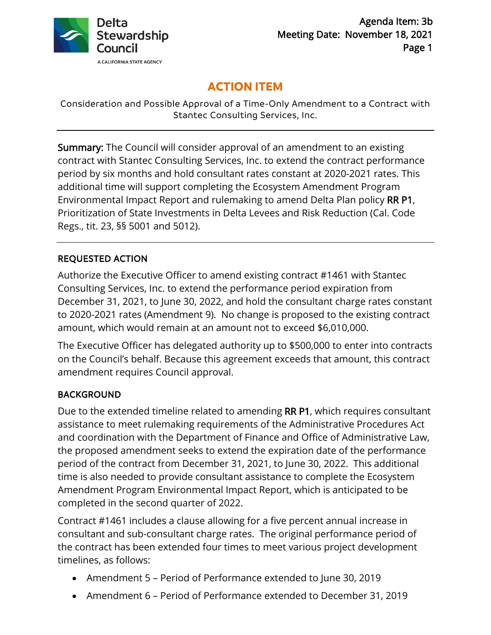

# **ACTION ITEM**

Consideration and Possible Approval of a Time-Only Amendment to a Contract with Stantec Consulting Services, Inc.

Summary: The Council will consider approval of an amendment to an existing contract with Stantec Consulting Services, Inc. to extend the contract performance period by six months and hold consultant rates constant at 2020-2021 rates. This additional time will support completing the Ecosystem Amendment Program Environmental Impact Report and rulemaking to amend Delta Plan policy RR P1, Prioritization of State Investments in Delta Levees and Risk Reduction (Cal. Code Regs., tit. 23, §§ 5001 and 5012).

## REQUESTED ACTION

Authorize the Executive Officer to amend existing contract #1461 with Stantec Consulting Services, Inc. to extend the performance period expiration from December 31, 2021, to June 30, 2022, and hold the consultant charge rates constant to 2020-2021 rates (Amendment 9). No change is proposed to the existing contract amount, which would remain at an amount not to exceed \$6,010,000.

The Executive Officer has delegated authority up to \$500,000 to enter into contracts on the Council's behalf. Because this agreement exceeds that amount, this contract amendment requires Council approval.

## BACKGROUND

Due to the extended timeline related to amending RR P1, which requires consultant assistance to meet rulemaking requirements of the Administrative Procedures Act and coordination with the Department of Finance and Office of Administrative Law, the proposed amendment seeks to extend the expiration date of the performance period of the contract from December 31, 2021, to June 30, 2022. This additional time is also needed to provide consultant assistance to complete the Ecosystem Amendment Program Environmental Impact Report, which is anticipated to be completed in the second quarter of 2022.

Contract #1461 includes a clause allowing for a five percent annual increase in consultant and sub-consultant charge rates. The original performance period of the contract has been extended four times to meet various project development timelines, as follows:

- Amendment 5 Period of Performance extended to June 30, 2019
- Amendment 6 Period of Performance extended to December 31, 2019